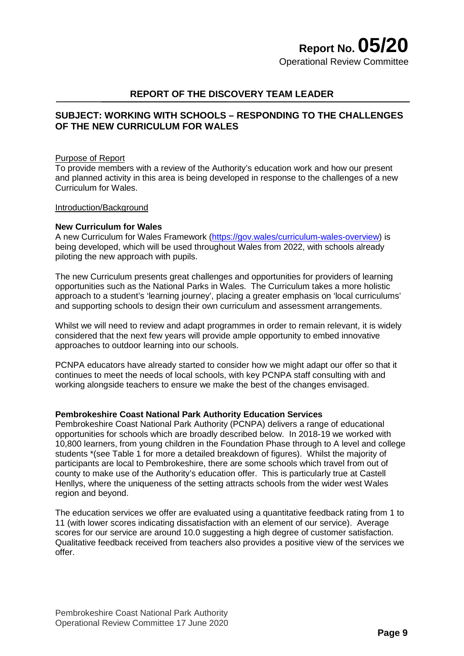# **REPORT OF THE DISCOVERY TEAM LEADER**

# **SUBJECT: WORKING WITH SCHOOLS – RESPONDING TO THE CHALLENGES OF THE NEW CURRICULUM FOR WALES**

#### Purpose of Report

To provide members with a review of the Authority's education work and how our present and planned activity in this area is being developed in response to the challenges of a new Curriculum for Wales.

#### Introduction/Background

## **New Curriculum for Wales**

A new Curriculum for Wales Framework [\(https://gov.wales/curriculum-wales-overview\)](https://gov.wales/curriculum-wales-overview) is being developed, which will be used throughout Wales from 2022, with schools already piloting the new approach with pupils.

The new Curriculum presents great challenges and opportunities for providers of learning opportunities such as the National Parks in Wales. The Curriculum takes a more holistic approach to a student's 'learning journey', placing a greater emphasis on 'local curriculums' and supporting schools to design their own curriculum and assessment arrangements.

Whilst we will need to review and adapt programmes in order to remain relevant, it is widely considered that the next few years will provide ample opportunity to embed innovative approaches to outdoor learning into our schools.

PCNPA educators have already started to consider how we might adapt our offer so that it continues to meet the needs of local schools, with key PCNPA staff consulting with and working alongside teachers to ensure we make the best of the changes envisaged.

#### **Pembrokeshire Coast National Park Authority Education Services**

Pembrokeshire Coast National Park Authority (PCNPA) delivers a range of educational opportunities for schools which are broadly described below. In 2018-19 we worked with 10,800 learners, from young children in the Foundation Phase through to A level and college students \*(see Table 1 for more a detailed breakdown of figures). Whilst the majority of participants are local to Pembrokeshire, there are some schools which travel from out of county to make use of the Authority's education offer. This is particularly true at Castell Henllys, where the uniqueness of the setting attracts schools from the wider west Wales region and beyond.

The education services we offer are evaluated using a quantitative feedback rating from 1 to 11 (with lower scores indicating dissatisfaction with an element of our service). Average scores for our service are around 10.0 suggesting a high degree of customer satisfaction. Qualitative feedback received from teachers also provides a positive view of the services we offer.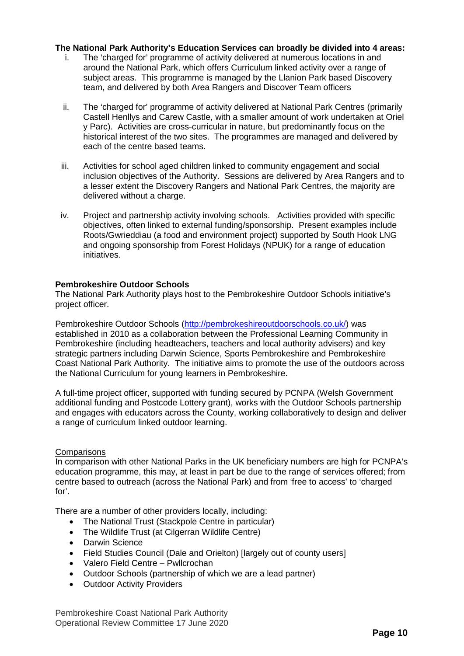# **The National Park Authority's Education Services can broadly be divided into 4 areas:**

- The 'charged for' programme of activity delivered at numerous locations in and around the National Park, which offers Curriculum linked activity over a range of subject areas. This programme is managed by the Llanion Park based Discovery team, and delivered by both Area Rangers and Discover Team officers
- ii. The 'charged for' programme of activity delivered at National Park Centres (primarily Castell Henllys and Carew Castle, with a smaller amount of work undertaken at Oriel y Parc). Activities are cross-curricular in nature, but predominantly focus on the historical interest of the two sites. The programmes are managed and delivered by each of the centre based teams.
- iii. Activities for school aged children linked to community engagement and social inclusion objectives of the Authority. Sessions are delivered by Area Rangers and to a lesser extent the Discovery Rangers and National Park Centres, the majority are delivered without a charge.
- iv. Project and partnership activity involving schools. Activities provided with specific objectives, often linked to external funding/sponsorship. Present examples include Roots/Gwrieddiau (a food and environment project) supported by South Hook LNG and ongoing sponsorship from Forest Holidays (NPUK) for a range of education initiatives.

## **Pembrokeshire Outdoor Schools**

The National Park Authority plays host to the Pembrokeshire Outdoor Schools initiative's project officer.

Pembrokeshire Outdoor Schools [\(http://pembrokeshireoutdoorschools.co.uk/\)](http://pembrokeshireoutdoorschools.co.uk/) was established in 2010 as a collaboration between the Professional Learning Community in Pembrokeshire (including headteachers, teachers and local authority advisers) and key strategic partners including Darwin Science, Sports Pembrokeshire and Pembrokeshire Coast National Park Authority. The initiative aims to promote the use of the outdoors across the National Curriculum for young learners in Pembrokeshire.

A full-time project officer, supported with funding secured by PCNPA (Welsh Government additional funding and Postcode Lottery grant), works with the Outdoor Schools partnership and engages with educators across the County, working collaboratively to design and deliver a range of curriculum linked outdoor learning.

## **Comparisons**

In comparison with other National Parks in the UK beneficiary numbers are high for PCNPA's education programme, this may, at least in part be due to the range of services offered; from centre based to outreach (across the National Park) and from 'free to access' to 'charged for'.

There are a number of other providers locally, including:

- The National Trust (Stackpole Centre in particular)
- The Wildlife Trust (at Cilgerran Wildlife Centre)
- Darwin Science
- Field Studies Council (Dale and Orielton) [largely out of county users]
- Valero Field Centre Pwllcrochan
- Outdoor Schools (partnership of which we are a lead partner)
- Outdoor Activity Providers

Pembrokeshire Coast National Park Authority Operational Review Committee 17 June 2020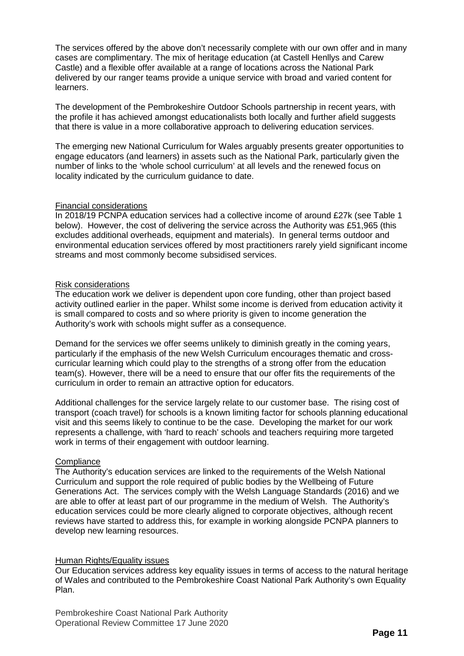The services offered by the above don't necessarily complete with our own offer and in many cases are complimentary. The mix of heritage education (at Castell Henllys and Carew Castle) and a flexible offer available at a range of locations across the National Park delivered by our ranger teams provide a unique service with broad and varied content for learners.

The development of the Pembrokeshire Outdoor Schools partnership in recent years, with the profile it has achieved amongst educationalists both locally and further afield suggests that there is value in a more collaborative approach to delivering education services.

The emerging new National Curriculum for Wales arguably presents greater opportunities to engage educators (and learners) in assets such as the National Park, particularly given the number of links to the 'whole school curriculum' at all levels and the renewed focus on locality indicated by the curriculum guidance to date.

## Financial considerations

In 2018/19 PCNPA education services had a collective income of around £27k (see Table 1 below). However, the cost of delivering the service across the Authority was £51,965 (this excludes additional overheads, equipment and materials). In general terms outdoor and environmental education services offered by most practitioners rarely yield significant income streams and most commonly become subsidised services.

## Risk considerations

The education work we deliver is dependent upon core funding, other than project based activity outlined earlier in the paper. Whilst some income is derived from education activity it is small compared to costs and so where priority is given to income generation the Authority's work with schools might suffer as a consequence.

Demand for the services we offer seems unlikely to diminish greatly in the coming years, particularly if the emphasis of the new Welsh Curriculum encourages thematic and crosscurricular learning which could play to the strengths of a strong offer from the education team(s). However, there will be a need to ensure that our offer fits the requirements of the curriculum in order to remain an attractive option for educators.

Additional challenges for the service largely relate to our customer base. The rising cost of transport (coach travel) for schools is a known limiting factor for schools planning educational visit and this seems likely to continue to be the case. Developing the market for our work represents a challenge, with 'hard to reach' schools and teachers requiring more targeted work in terms of their engagement with outdoor learning.

# **Compliance**

The Authority's education services are linked to the requirements of the Welsh National Curriculum and support the role required of public bodies by the Wellbeing of Future Generations Act. The services comply with the Welsh Language Standards (2016) and we are able to offer at least part of our programme in the medium of Welsh. The Authority's education services could be more clearly aligned to corporate objectives, although recent reviews have started to address this, for example in working alongside PCNPA planners to develop new learning resources.

## Human Rights/Equality issues

Our Education services address key equality issues in terms of access to the natural heritage of Wales and contributed to the Pembrokeshire Coast National Park Authority's own Equality Plan.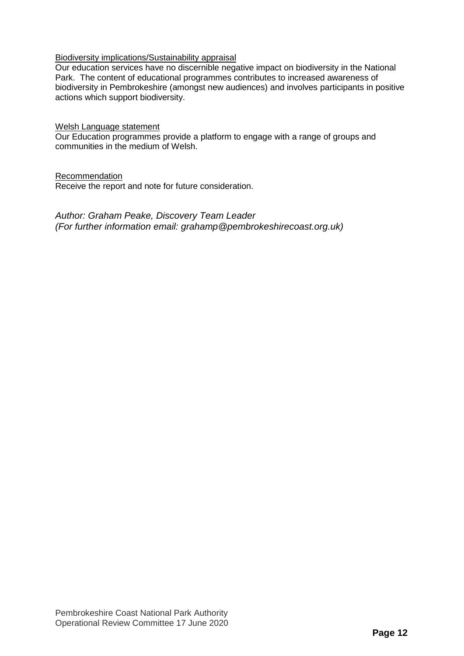## Biodiversity implications/Sustainability appraisal

Our education services have no discernible negative impact on biodiversity in the National Park. The content of educational programmes contributes to increased awareness of biodiversity in Pembrokeshire (amongst new audiences) and involves participants in positive actions which support biodiversity.

## Welsh Language statement

Our Education programmes provide a platform to engage with a range of groups and communities in the medium of Welsh.

## Recommendation

Receive the report and note for future consideration.

*Author: Graham Peake, Discovery Team Leader (For further information email: grahamp@pembrokeshirecoast.org.uk)*